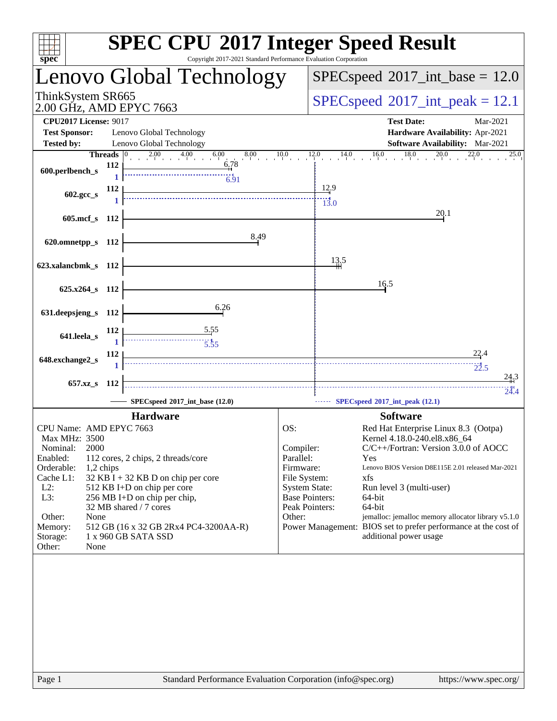| spec <sup>®</sup>                                                                                                                                                                            |                                                                                                                                                    | <b>SPEC CPU®2017 Integer Speed Result</b><br>Copyright 2017-2021 Standard Performance Evaluation Corporation |                                                                                                                                         |                                            |                                                                                                                                                                                                                                                                                                                                                                                     |  |  |
|----------------------------------------------------------------------------------------------------------------------------------------------------------------------------------------------|----------------------------------------------------------------------------------------------------------------------------------------------------|--------------------------------------------------------------------------------------------------------------|-----------------------------------------------------------------------------------------------------------------------------------------|--------------------------------------------|-------------------------------------------------------------------------------------------------------------------------------------------------------------------------------------------------------------------------------------------------------------------------------------------------------------------------------------------------------------------------------------|--|--|
|                                                                                                                                                                                              |                                                                                                                                                    | Lenovo Global Technology                                                                                     |                                                                                                                                         |                                            | $SPEC speed^{\circ}2017\_int\_base = 12.0$                                                                                                                                                                                                                                                                                                                                          |  |  |
| ThinkSystem SR665<br>2.00 GHz, AMD EPYC 7663                                                                                                                                                 |                                                                                                                                                    |                                                                                                              |                                                                                                                                         | $SPEC speed^{\circ}2017\_int\_peak = 12.1$ |                                                                                                                                                                                                                                                                                                                                                                                     |  |  |
| <b>CPU2017 License: 9017</b><br><b>Test Sponsor:</b><br><b>Tested by:</b>                                                                                                                    | Lenovo Global Technology<br>Lenovo Global Technology                                                                                               |                                                                                                              |                                                                                                                                         |                                            | <b>Test Date:</b><br>Mar-2021<br>Hardware Availability: Apr-2021<br>Software Availability: Mar-2021                                                                                                                                                                                                                                                                                 |  |  |
| 600.perlbench_s                                                                                                                                                                              | Threads $ 0 $<br>112                                                                                                                               | 2.00 4.00 6.00 8<br>8.00<br>6.78<br>$\frac{1}{6.91}$                                                         | 10.0                                                                                                                                    | 12.0                                       | $14.0$ $16.0$ $18.0$ $20.0$ $22.0$<br>25.0                                                                                                                                                                                                                                                                                                                                          |  |  |
| 602.gcc_s                                                                                                                                                                                    | 112                                                                                                                                                |                                                                                                              |                                                                                                                                         | 12.9<br>$\frac{113.0}{ }$                  |                                                                                                                                                                                                                                                                                                                                                                                     |  |  |
| 605.mcf s 112                                                                                                                                                                                |                                                                                                                                                    | 8.49                                                                                                         |                                                                                                                                         |                                            | 20.1                                                                                                                                                                                                                                                                                                                                                                                |  |  |
| 620.omnetpp_s 112<br>623.xalancbmk_s 112                                                                                                                                                     |                                                                                                                                                    |                                                                                                              |                                                                                                                                         | 13,5                                       |                                                                                                                                                                                                                                                                                                                                                                                     |  |  |
| 625.x264_s 112                                                                                                                                                                               |                                                                                                                                                    |                                                                                                              |                                                                                                                                         |                                            | 16.5                                                                                                                                                                                                                                                                                                                                                                                |  |  |
| 631.deepsjeng_s 112                                                                                                                                                                          |                                                                                                                                                    | 6.26                                                                                                         |                                                                                                                                         |                                            |                                                                                                                                                                                                                                                                                                                                                                                     |  |  |
| 641.leela_s                                                                                                                                                                                  | 112                                                                                                                                                | $\begin{array}{c} \hline \text{5.55} \\ \hline \text{5.55} \\ \hline \end{array}$                            |                                                                                                                                         |                                            |                                                                                                                                                                                                                                                                                                                                                                                     |  |  |
| 648.exchange2_s                                                                                                                                                                              | 112                                                                                                                                                |                                                                                                              |                                                                                                                                         |                                            | 22.4<br>$\frac{1}{22.5}$                                                                                                                                                                                                                                                                                                                                                            |  |  |
| 657.xz_s                                                                                                                                                                                     | 112                                                                                                                                                | SPECspeed®2017_int_base (12.0)                                                                               |                                                                                                                                         |                                            | 24.3<br>24.4<br>SPECspeed®2017_int_peak (12.1)                                                                                                                                                                                                                                                                                                                                      |  |  |
|                                                                                                                                                                                              | <b>Hardware</b>                                                                                                                                    |                                                                                                              |                                                                                                                                         |                                            | <b>Software</b>                                                                                                                                                                                                                                                                                                                                                                     |  |  |
| CPU Name: AMD EPYC 7663<br>Max MHz: 3500<br>2000<br>Nominal:<br>Enabled:<br>Orderable:<br>1,2 chips<br>Cache L1:<br>$L2$ :<br>L3:<br>Other:<br>None<br>Memory:<br>Storage:<br>Other:<br>None | 112 cores, 2 chips, 2 threads/core<br>512 KB I+D on chip per core<br>256 MB I+D on chip per chip,<br>32 MB shared / 7 cores<br>1 x 960 GB SATA SSD | $32$ KB I + 32 KB D on chip per core<br>512 GB (16 x 32 GB 2Rx4 PC4-3200AA-R)                                | OS:<br>Compiler:<br>Parallel:<br>Firmware:<br>File System:<br><b>System State:</b><br><b>Base Pointers:</b><br>Peak Pointers:<br>Other: |                                            | Red Hat Enterprise Linux 8.3 (Ootpa)<br>Kernel 4.18.0-240.el8.x86_64<br>C/C++/Fortran: Version 3.0.0 of AOCC<br>Yes<br>Lenovo BIOS Version D8E115E 2.01 released Mar-2021<br>xfs<br>Run level 3 (multi-user)<br>64-bit<br>64-bit<br>jemalloc: jemalloc memory allocator library v5.1.0<br>Power Management: BIOS set to prefer performance at the cost of<br>additional power usage |  |  |
| Page 1                                                                                                                                                                                       |                                                                                                                                                    | Standard Performance Evaluation Corporation (info@spec.org)                                                  |                                                                                                                                         |                                            | https://www.spec.org/                                                                                                                                                                                                                                                                                                                                                               |  |  |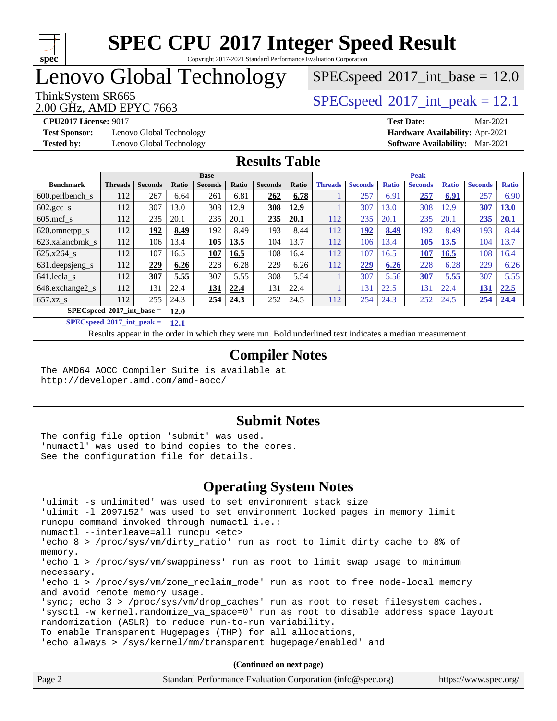

Copyright 2017-2021 Standard Performance Evaluation Corporation

# Lenovo Global Technology

2.00 GHz, AMD EPYC 7663

ThinkSystem SR665<br>2.00 GHz, AMD EPVC 7663  $SPECspeed*2017\_int\_base = 12.0$  $SPECspeed*2017\_int\_base = 12.0$ 

**[Test Sponsor:](http://www.spec.org/auto/cpu2017/Docs/result-fields.html#TestSponsor)** Lenovo Global Technology **[Hardware Availability:](http://www.spec.org/auto/cpu2017/Docs/result-fields.html#HardwareAvailability)** Apr-2021 **[Tested by:](http://www.spec.org/auto/cpu2017/Docs/result-fields.html#Testedby)** Lenovo Global Technology **[Software Availability:](http://www.spec.org/auto/cpu2017/Docs/result-fields.html#SoftwareAvailability)** Mar-2021

**[CPU2017 License:](http://www.spec.org/auto/cpu2017/Docs/result-fields.html#CPU2017License)** 9017 **[Test Date:](http://www.spec.org/auto/cpu2017/Docs/result-fields.html#TestDate)** Mar-2021

### **[Results Table](http://www.spec.org/auto/cpu2017/Docs/result-fields.html#ResultsTable)**

|                                     | <b>Base</b>    |                |       |                | <b>Peak</b> |                |       |                |                |              |                |              |                |              |
|-------------------------------------|----------------|----------------|-------|----------------|-------------|----------------|-------|----------------|----------------|--------------|----------------|--------------|----------------|--------------|
| <b>Benchmark</b>                    | <b>Threads</b> | <b>Seconds</b> | Ratio | <b>Seconds</b> | Ratio       | <b>Seconds</b> | Ratio | <b>Threads</b> | <b>Seconds</b> | <b>Ratio</b> | <b>Seconds</b> | <b>Ratio</b> | <b>Seconds</b> | <b>Ratio</b> |
| 600.perlbench_s                     | 112            | 267            | 6.64  | 261            | 6.81        | 262            | 6.78  |                | 257            | 6.91         | 257            | 6.91         | 257            | 6.90         |
| 602.gcc_s                           | 112            | 307            | 13.0  | 308            | 12.9        | 308            | 12.9  |                | 307            | 13.0         | 308            | 12.9         | 307            | 13.0         |
| $605$ .mcf s                        | 112            | 235            | 20.1  | 235            | 20.1        | 235            | 20.1  | 112            | 235            | 20.1         | 235            | 20.1         | 235            | 20.1         |
| 620.omnetpp_s                       | 112            | 192            | 8.49  | 192            | 8.49        | 193            | 8.44  | 112            | 192            | 8.49         | 192            | 8.49         | 193            | 8.44         |
| 623.xalancbmk s                     | 112            | 106            | 13.4  | 105            | 13.5        | 104            | 13.7  | 112            | 106            | 13.4         | 105            | 13.5         | 104            | 13.7         |
| 625.x264 s                          | 112            | 107            | 16.5  | 107            | 16.5        | 108            | 16.4  | 112            | 107            | 16.5         | 107            | 16.5         | 108            | 16.4         |
| 631.deepsjeng_s                     | 112            | 229            | 6.26  | 228            | 6.28        | 229            | 6.26  | 112            | 229            | 6.26         | 228            | 6.28         | 229            | 6.26         |
| 641.leela s                         | 112            | 307            | 5.55  | 307            | 5.55        | 308            | 5.54  |                | 307            | 5.56         | 307            | 5.55         | 307            | 5.55         |
| 648.exchange2 s                     | 112            | 131            | 22.4  | <b>131</b>     | 22.4        | 131            | 22.4  |                | 131            | 22.5         | 131            | 22.4         | 131            | 22.5         |
| $657.xz$ s                          | 112            | 255            | 24.3  | 254            | 24.3        | 252            | 24.5  | 112            | 254            | 24.3         | 252            | 24.5         | 254            | 24.4         |
| $SPECspeed*2017$ int base =<br>12.0 |                |                |       |                |             |                |       |                |                |              |                |              |                |              |

**[SPECspeed](http://www.spec.org/auto/cpu2017/Docs/result-fields.html#SPECspeed2017intpeak)[2017\\_int\\_peak =](http://www.spec.org/auto/cpu2017/Docs/result-fields.html#SPECspeed2017intpeak) 12.1**

Results appear in the [order in which they were run.](http://www.spec.org/auto/cpu2017/Docs/result-fields.html#RunOrder) Bold underlined text [indicates a median measurement](http://www.spec.org/auto/cpu2017/Docs/result-fields.html#Median).

### **[Compiler Notes](http://www.spec.org/auto/cpu2017/Docs/result-fields.html#CompilerNotes)**

The AMD64 AOCC Compiler Suite is available at <http://developer.amd.com/amd-aocc/>

#### **[Submit Notes](http://www.spec.org/auto/cpu2017/Docs/result-fields.html#SubmitNotes)**

The config file option 'submit' was used. 'numactl' was used to bind copies to the cores. See the configuration file for details.

### **[Operating System Notes](http://www.spec.org/auto/cpu2017/Docs/result-fields.html#OperatingSystemNotes)**

| 'ulimit -s unlimited' was used to set environment stack size                        |
|-------------------------------------------------------------------------------------|
| 'ulimit -1 2097152' was used to set environment locked pages in memory limit        |
| runcpu command invoked through numactl i.e.:                                        |
| numactl --interleave=all runcpu <etc></etc>                                         |
| 'echo 8 > /proc/sys/vm/dirty_ratio' run as root to limit dirty cache to 8% of       |
| memory.                                                                             |
| 'echo 1 > /proc/sys/vm/swappiness' run as root to limit swap usage to minimum       |
| necessary.                                                                          |
| 'echo 1 > /proc/sys/vm/zone_reclaim_mode' run as root to free node-local memory     |
| and avoid remote memory usage.                                                      |
| 'sync; echo $3$ > /proc/sys/vm/drop caches' run as root to reset filesystem caches. |
| 'sysctl -w kernel.randomize_va_space=0' run as root to disable address space layout |
| randomization (ASLR) to reduce run-to-run variability.                              |
| To enable Transparent Hugepages (THP) for all allocations,                          |
| 'echo always > /sys/kernel/mm/transparent hugepage/enabled' and                     |
|                                                                                     |
|                                                                                     |

**(Continued on next page)**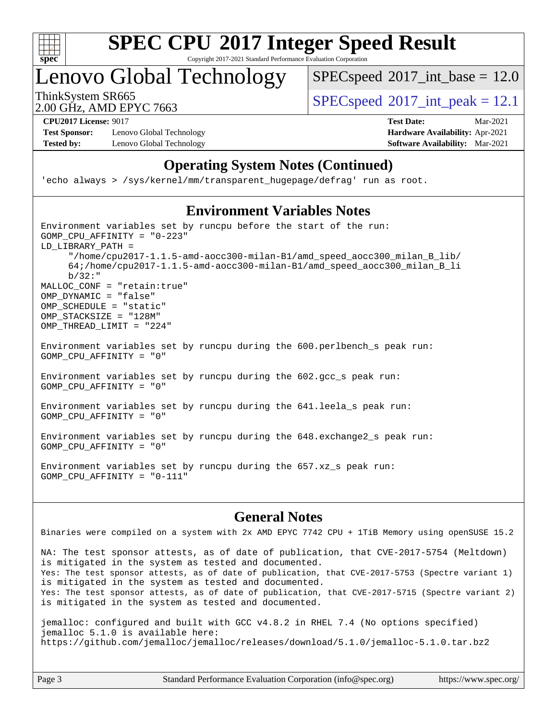

Copyright 2017-2021 Standard Performance Evaluation Corporation

Lenovo Global Technology

 $SPECspeed^{\circ}2017\_int\_base = 12.0$  $SPECspeed^{\circ}2017\_int\_base = 12.0$ 

2.00 GHz, AMD EPYC 7663

ThinkSystem SR665  $S^{200}$  [SPECspeed](http://www.spec.org/auto/cpu2017/Docs/result-fields.html#SPECspeed2017intpeak)®[2017\\_int\\_peak = 1](http://www.spec.org/auto/cpu2017/Docs/result-fields.html#SPECspeed2017intpeak)2.1

**[Test Sponsor:](http://www.spec.org/auto/cpu2017/Docs/result-fields.html#TestSponsor)** Lenovo Global Technology **[Hardware Availability:](http://www.spec.org/auto/cpu2017/Docs/result-fields.html#HardwareAvailability)** Apr-2021 **[Tested by:](http://www.spec.org/auto/cpu2017/Docs/result-fields.html#Testedby)** Lenovo Global Technology **[Software Availability:](http://www.spec.org/auto/cpu2017/Docs/result-fields.html#SoftwareAvailability)** Mar-2021

**[CPU2017 License:](http://www.spec.org/auto/cpu2017/Docs/result-fields.html#CPU2017License)** 9017 **[Test Date:](http://www.spec.org/auto/cpu2017/Docs/result-fields.html#TestDate)** Mar-2021

### **[Operating System Notes \(Continued\)](http://www.spec.org/auto/cpu2017/Docs/result-fields.html#OperatingSystemNotes)**

'echo always > /sys/kernel/mm/transparent\_hugepage/defrag' run as root.

### **[Environment Variables Notes](http://www.spec.org/auto/cpu2017/Docs/result-fields.html#EnvironmentVariablesNotes)**

Environment variables set by runcpu before the start of the run: GOMP\_CPU\_AFFINITY = "0-223" LD\_LIBRARY\_PATH = "/home/cpu2017-1.1.5-amd-aocc300-milan-B1/amd\_speed\_aocc300\_milan\_B\_lib/ 64;/home/cpu2017-1.1.5-amd-aocc300-milan-B1/amd\_speed\_aocc300\_milan\_B\_li b/32:" MALLOC\_CONF = "retain:true" OMP\_DYNAMIC = "false" OMP SCHEDULE = "static" OMP\_STACKSIZE = "128M" OMP\_THREAD\_LIMIT = "224"

Environment variables set by runcpu during the 600.perlbench\_s peak run: GOMP\_CPU\_AFFINITY = "0"

Environment variables set by runcpu during the 602.gcc\_s peak run: GOMP\_CPU\_AFFINITY = "0"

Environment variables set by runcpu during the 641.leela\_s peak run: GOMP\_CPU\_AFFINITY = "0"

Environment variables set by runcpu during the 648.exchange2\_s peak run: GOMP\_CPU\_AFFINITY = "0"

Environment variables set by runcpu during the 657.xz\_s peak run: GOMP\_CPU\_AFFINITY = "0-111"

#### **[General Notes](http://www.spec.org/auto/cpu2017/Docs/result-fields.html#GeneralNotes)**

Binaries were compiled on a system with 2x AMD EPYC 7742 CPU + 1TiB Memory using openSUSE 15.2

NA: The test sponsor attests, as of date of publication, that CVE-2017-5754 (Meltdown) is mitigated in the system as tested and documented. Yes: The test sponsor attests, as of date of publication, that CVE-2017-5753 (Spectre variant 1) is mitigated in the system as tested and documented. Yes: The test sponsor attests, as of date of publication, that CVE-2017-5715 (Spectre variant 2) is mitigated in the system as tested and documented.

jemalloc: configured and built with GCC v4.8.2 in RHEL 7.4 (No options specified) jemalloc 5.1.0 is available here: <https://github.com/jemalloc/jemalloc/releases/download/5.1.0/jemalloc-5.1.0.tar.bz2>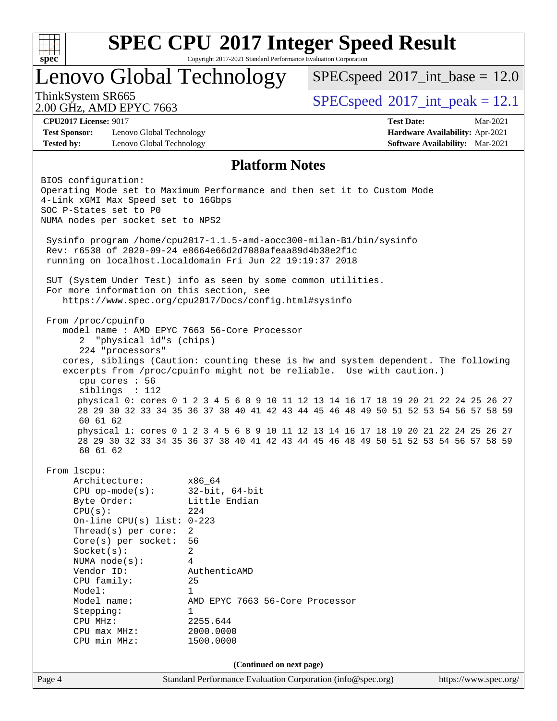

Copyright 2017-2021 Standard Performance Evaluation Corporation

### Lenovo Global Technology

 $SPECspeed^{\circ}2017\_int\_base = 12.0$  $SPECspeed^{\circ}2017\_int\_base = 12.0$ 

ThinkSystem SR665  $S^{200}$  [SPECspeed](http://www.spec.org/auto/cpu2017/Docs/result-fields.html#SPECspeed2017intpeak)®[2017\\_int\\_peak = 1](http://www.spec.org/auto/cpu2017/Docs/result-fields.html#SPECspeed2017intpeak)2.1

2.00 GHz, AMD EPYC 7663

**[CPU2017 License:](http://www.spec.org/auto/cpu2017/Docs/result-fields.html#CPU2017License)** 9017 **[Test Date:](http://www.spec.org/auto/cpu2017/Docs/result-fields.html#TestDate)** Mar-2021

#### **[Test Sponsor:](http://www.spec.org/auto/cpu2017/Docs/result-fields.html#TestSponsor)** Lenovo Global Technology **[Hardware Availability:](http://www.spec.org/auto/cpu2017/Docs/result-fields.html#HardwareAvailability)** Apr-2021 **[Tested by:](http://www.spec.org/auto/cpu2017/Docs/result-fields.html#Testedby)** Lenovo Global Technology **[Software Availability:](http://www.spec.org/auto/cpu2017/Docs/result-fields.html#SoftwareAvailability)** Mar-2021

### **[Platform Notes](http://www.spec.org/auto/cpu2017/Docs/result-fields.html#PlatformNotes)**

Page 4 Standard Performance Evaluation Corporation [\(info@spec.org\)](mailto:info@spec.org) <https://www.spec.org/> BIOS configuration: Operating Mode set to Maximum Performance and then set it to Custom Mode 4-Link xGMI Max Speed set to 16Gbps SOC P-States set to P0 NUMA nodes per socket set to NPS2 Sysinfo program /home/cpu2017-1.1.5-amd-aocc300-milan-B1/bin/sysinfo Rev: r6538 of 2020-09-24 e8664e66d2d7080afeaa89d4b38e2f1c running on localhost.localdomain Fri Jun 22 19:19:37 2018 SUT (System Under Test) info as seen by some common utilities. For more information on this section, see <https://www.spec.org/cpu2017/Docs/config.html#sysinfo> From /proc/cpuinfo model name : AMD EPYC 7663 56-Core Processor 2 "physical id"s (chips) 224 "processors" cores, siblings (Caution: counting these is hw and system dependent. The following excerpts from /proc/cpuinfo might not be reliable. Use with caution.) cpu cores : 56 siblings : 112 physical 0: cores 0 1 2 3 4 5 6 8 9 10 11 12 13 14 16 17 18 19 20 21 22 24 25 26 27 28 29 30 32 33 34 35 36 37 38 40 41 42 43 44 45 46 48 49 50 51 52 53 54 56 57 58 59 60 61 62 physical 1: cores 0 1 2 3 4 5 6 8 9 10 11 12 13 14 16 17 18 19 20 21 22 24 25 26 27 28 29 30 32 33 34 35 36 37 38 40 41 42 43 44 45 46 48 49 50 51 52 53 54 56 57 58 59 60 61 62 From lscpu: Architecture: x86\_64 CPU op-mode(s): 32-bit, 64-bit Byte Order: Little Endian  $CPU(s):$  224 On-line CPU(s) list: 0-223 Thread(s) per core: 2 Core(s) per socket: 56 Socket(s): 2 NUMA node(s): 4 Vendor ID: AuthenticAMD CPU family: 25 Model: 1 Model name: AMD EPYC 7663 56-Core Processor Stepping: 1 CPU MHz: 2255.644 CPU max MHz: 2000.0000 CPU min MHz: 1500.0000 **(Continued on next page)**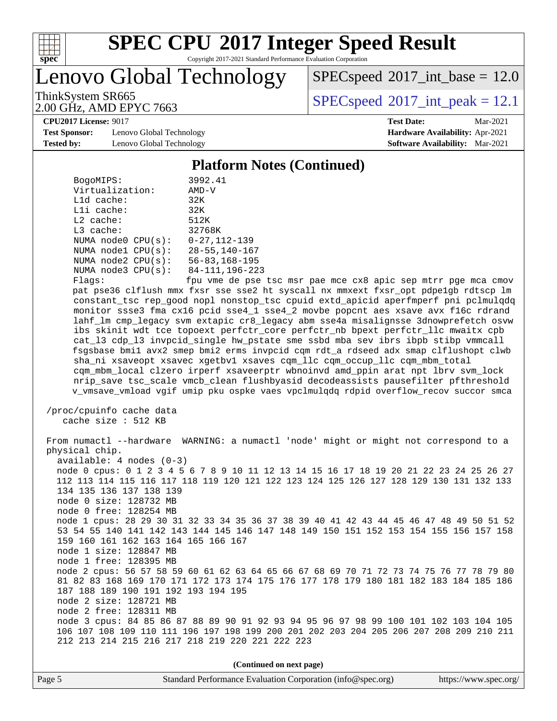

Copyright 2017-2021 Standard Performance Evaluation Corporation

Lenovo Global Technology

 $SPECspeed^{\circ}2017\_int\_base = 12.0$  $SPECspeed^{\circ}2017\_int\_base = 12.0$ 

2.00 GHz, AMD EPYC 7663

ThinkSystem SR665  $S^{200}$  [SPECspeed](http://www.spec.org/auto/cpu2017/Docs/result-fields.html#SPECspeed2017intpeak)®[2017\\_int\\_peak = 1](http://www.spec.org/auto/cpu2017/Docs/result-fields.html#SPECspeed2017intpeak)2.1

**[CPU2017 License:](http://www.spec.org/auto/cpu2017/Docs/result-fields.html#CPU2017License)** 9017 **[Test Date:](http://www.spec.org/auto/cpu2017/Docs/result-fields.html#TestDate)** Mar-2021

**[Test Sponsor:](http://www.spec.org/auto/cpu2017/Docs/result-fields.html#TestSponsor)** Lenovo Global Technology **[Hardware Availability:](http://www.spec.org/auto/cpu2017/Docs/result-fields.html#HardwareAvailability)** Apr-2021 **[Tested by:](http://www.spec.org/auto/cpu2017/Docs/result-fields.html#Testedby)** Lenovo Global Technology **[Software Availability:](http://www.spec.org/auto/cpu2017/Docs/result-fields.html#SoftwareAvailability)** Mar-2021

#### **[Platform Notes \(Continued\)](http://www.spec.org/auto/cpu2017/Docs/result-fields.html#PlatformNotes)**

| BogoMIPS:               | 3992.41                                               |
|-------------------------|-------------------------------------------------------|
| Virtualization:         | $AMD-V$                                               |
| $L1d$ cache:            | 32K                                                   |
| $L1i$ cache:            | 32K                                                   |
| $L2$ cache:             | 512K                                                  |
| $L3$ cache:             | 32768K                                                |
| NUMA $node0$ $CPU(s):$  | $0 - 27.112 - 139$                                    |
| NUMA $node1$ $CPU(s):$  | $28 - 55, 140 - 167$                                  |
| NUMA $node2$ $CPU(s):$  | $56 - 83, 168 - 195$                                  |
| NUMA $node3$ $CPU(s)$ : | 84-111, 196-223                                       |
| F1200                   | $f_{\text{D11}}$ $r_{\text{m0}}$ $d_{\Omega}$ ngo $f$ |

 Flags: fpu vme de pse tsc msr pae mce cx8 apic sep mtrr pge mca cmov pat pse36 clflush mmx fxsr sse sse2 ht syscall nx mmxext fxsr\_opt pdpe1gb rdtscp lm constant\_tsc rep\_good nopl nonstop\_tsc cpuid extd\_apicid aperfmperf pni pclmulqdq monitor ssse3 fma cx16 pcid sse4\_1 sse4\_2 movbe popcnt aes xsave avx f16c rdrand lahf\_lm cmp\_legacy svm extapic cr8\_legacy abm sse4a misalignsse 3dnowprefetch osvw ibs skinit wdt tce topoext perfctr\_core perfctr\_nb bpext perfctr\_llc mwaitx cpb cat\_l3 cdp\_l3 invpcid\_single hw\_pstate sme ssbd mba sev ibrs ibpb stibp vmmcall fsgsbase bmi1 avx2 smep bmi2 erms invpcid cqm rdt\_a rdseed adx smap clflushopt clwb sha\_ni xsaveopt xsavec xgetbv1 xsaves cqm\_llc cqm\_occup\_llc cqm\_mbm\_total cqm\_mbm\_local clzero irperf xsaveerptr wbnoinvd amd\_ppin arat npt lbrv svm\_lock nrip\_save tsc\_scale vmcb\_clean flushbyasid decodeassists pausefilter pfthreshold v\_vmsave\_vmload vgif umip pku ospke vaes vpclmulqdq rdpid overflow\_recov succor smca

 /proc/cpuinfo cache data cache size : 512 KB

 From numactl --hardware WARNING: a numactl 'node' might or might not correspond to a physical chip. available: 4 nodes (0-3) node 0 cpus: 0 1 2 3 4 5 6 7 8 9 10 11 12 13 14 15 16 17 18 19 20 21 22 23 24 25 26 27 112 113 114 115 116 117 118 119 120 121 122 123 124 125 126 127 128 129 130 131 132 133 134 135 136 137 138 139 node 0 size: 128732 MB node 0 free: 128254 MB node 1 cpus: 28 29 30 31 32 33 34 35 36 37 38 39 40 41 42 43 44 45 46 47 48 49 50 51 52 53 54 55 140 141 142 143 144 145 146 147 148 149 150 151 152 153 154 155 156 157 158 159 160 161 162 163 164 165 166 167 node 1 size: 128847 MB node 1 free: 128395 MB node 2 cpus: 56 57 58 59 60 61 62 63 64 65 66 67 68 69 70 71 72 73 74 75 76 77 78 79 80 81 82 83 168 169 170 171 172 173 174 175 176 177 178 179 180 181 182 183 184 185 186 187 188 189 190 191 192 193 194 195 node 2 size: 128721 MB node 2 free: 128311 MB node 3 cpus: 84 85 86 87 88 89 90 91 92 93 94 95 96 97 98 99 100 101 102 103 104 105 106 107 108 109 110 111 196 197 198 199 200 201 202 203 204 205 206 207 208 209 210 211 212 213 214 215 216 217 218 219 220 221 222 223

**(Continued on next page)**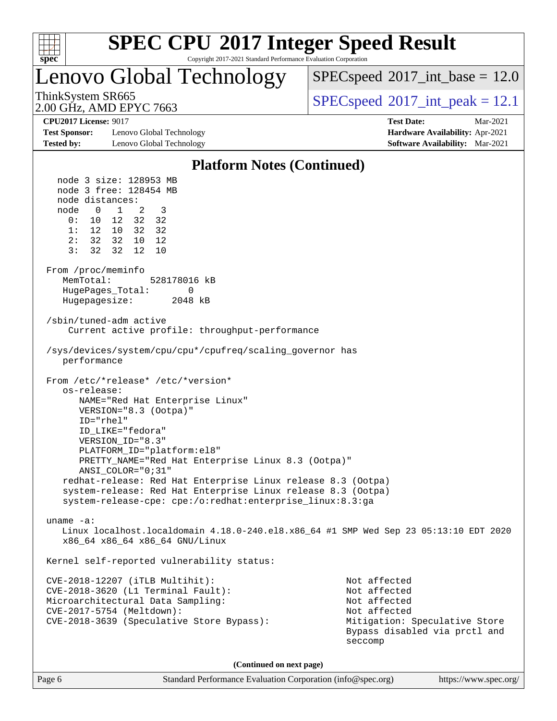

Copyright 2017-2021 Standard Performance Evaluation Corporation

Lenovo Global Technology

 $SPECspeed^{\circ}2017\_int\_base = 12.0$  $SPECspeed^{\circ}2017\_int\_base = 12.0$ 

2.00 GHz, AMD EPYC 7663

ThinkSystem SR665  $S^{200}$  [SPECspeed](http://www.spec.org/auto/cpu2017/Docs/result-fields.html#SPECspeed2017intpeak)®[2017\\_int\\_peak = 1](http://www.spec.org/auto/cpu2017/Docs/result-fields.html#SPECspeed2017intpeak)2.1

**[Test Sponsor:](http://www.spec.org/auto/cpu2017/Docs/result-fields.html#TestSponsor)** Lenovo Global Technology **[Hardware Availability:](http://www.spec.org/auto/cpu2017/Docs/result-fields.html#HardwareAvailability)** Apr-2021 **[Tested by:](http://www.spec.org/auto/cpu2017/Docs/result-fields.html#Testedby)** Lenovo Global Technology **[Software Availability:](http://www.spec.org/auto/cpu2017/Docs/result-fields.html#SoftwareAvailability)** Mar-2021

**[CPU2017 License:](http://www.spec.org/auto/cpu2017/Docs/result-fields.html#CPU2017License)** 9017 **[Test Date:](http://www.spec.org/auto/cpu2017/Docs/result-fields.html#TestDate)** Mar-2021

#### **[Platform Notes \(Continued\)](http://www.spec.org/auto/cpu2017/Docs/result-fields.html#PlatformNotes)** node 3 size: 128953 MB node 3 free: 128454 MB node distances: node 0 1 2 3 0: 10 12 32 32 1: 12 10 32 32 2: 32 32 10 12 3: 32 32 12 10 From /proc/meminfo MemTotal: 528178016 kB HugePages Total: 0 Hugepagesize: 2048 kB /sbin/tuned-adm active Current active profile: throughput-performance /sys/devices/system/cpu/cpu\*/cpufreq/scaling\_governor has performance From /etc/\*release\* /etc/\*version\* os-release: NAME="Red Hat Enterprise Linux" VERSION="8.3 (Ootpa)" ID="rhel" ID\_LIKE="fedora" VERSION\_ID="8.3" PLATFORM\_ID="platform:el8" PRETTY\_NAME="Red Hat Enterprise Linux 8.3 (Ootpa)" ANSI\_COLOR="0;31" redhat-release: Red Hat Enterprise Linux release 8.3 (Ootpa) system-release: Red Hat Enterprise Linux release 8.3 (Ootpa) system-release-cpe: cpe:/o:redhat:enterprise\_linux:8.3:ga uname -a: Linux localhost.localdomain 4.18.0-240.el8.x86\_64 #1 SMP Wed Sep 23 05:13:10 EDT 2020 x86\_64 x86\_64 x86\_64 GNU/Linux Kernel self-reported vulnerability status: CVE-2018-12207 (iTLB Multihit): Not affected CVE-2018-3620 (L1 Terminal Fault): Not affected Microarchitectural Data Sampling: Not affected CVE-2017-5754 (Meltdown): Not affected CVE-2018-3639 (Speculative Store Bypass): Mitigation: Speculative Store Bypass disabled via prctl and seccomp **(Continued on next page)**

Page 6 Standard Performance Evaluation Corporation [\(info@spec.org\)](mailto:info@spec.org) <https://www.spec.org/>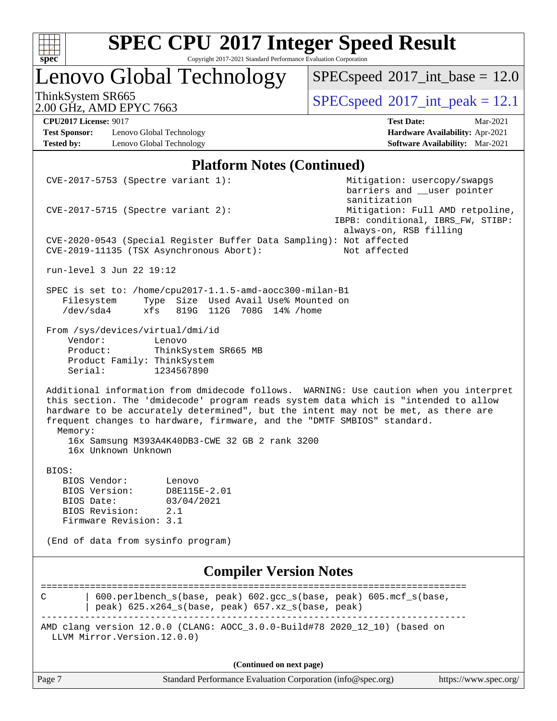

Copyright 2017-2021 Standard Performance Evaluation Corporation

# Lenovo Global Technology

 $SPEC speed$ <sup>®</sup> $2017$ \_int\_base = 12.0

2.00 GHz, AMD EPYC 7663

ThinkSystem SR665<br>  $\boxed{SPECspeed^{\circ}2017\_int\_peak = 12.1}$  $\boxed{SPECspeed^{\circ}2017\_int\_peak = 12.1}$  $\boxed{SPECspeed^{\circ}2017\_int\_peak = 12.1}$ 

**[Test Sponsor:](http://www.spec.org/auto/cpu2017/Docs/result-fields.html#TestSponsor)** Lenovo Global Technology **[Hardware Availability:](http://www.spec.org/auto/cpu2017/Docs/result-fields.html#HardwareAvailability)** Apr-2021 **[Tested by:](http://www.spec.org/auto/cpu2017/Docs/result-fields.html#Testedby)** Lenovo Global Technology **[Software Availability:](http://www.spec.org/auto/cpu2017/Docs/result-fields.html#SoftwareAvailability)** Mar-2021

**[CPU2017 License:](http://www.spec.org/auto/cpu2017/Docs/result-fields.html#CPU2017License)** 9017 **[Test Date:](http://www.spec.org/auto/cpu2017/Docs/result-fields.html#TestDate)** Mar-2021

#### **[Platform Notes \(Continued\)](http://www.spec.org/auto/cpu2017/Docs/result-fields.html#PlatformNotes)**

| Page 7                        |                                          |                                    | Standard Performance Evaluation Corporation (info@spec.org)                                                                   |                                                                                                                                                                                                                                                                     | https://www.spec.org/ |
|-------------------------------|------------------------------------------|------------------------------------|-------------------------------------------------------------------------------------------------------------------------------|---------------------------------------------------------------------------------------------------------------------------------------------------------------------------------------------------------------------------------------------------------------------|-----------------------|
|                               |                                          |                                    | (Continued on next page)                                                                                                      |                                                                                                                                                                                                                                                                     |                       |
|                               | LLVM Mirror. Version. 12.0.0)            |                                    |                                                                                                                               | AMD clang version 12.0.0 (CLANG: AOCC_3.0.0-Build#78 2020_12_10) (based on                                                                                                                                                                                          |                       |
| C                             |                                          |                                    | peak) 625.x264_s(base, peak) 657.xz_s(base, peak)                                                                             | 600.perlbench_s(base, peak) 602.gcc_s(base, peak) 605.mcf_s(base,                                                                                                                                                                                                   |                       |
|                               |                                          |                                    | <b>Compiler Version Notes</b>                                                                                                 |                                                                                                                                                                                                                                                                     |                       |
|                               |                                          |                                    |                                                                                                                               |                                                                                                                                                                                                                                                                     |                       |
|                               | (End of data from sysinfo program)       |                                    |                                                                                                                               |                                                                                                                                                                                                                                                                     |                       |
| BIOS Revision:                | Firmware Revision: 3.1                   | 2.1                                |                                                                                                                               |                                                                                                                                                                                                                                                                     |                       |
| BIOS Date:                    |                                          | 03/04/2021                         |                                                                                                                               |                                                                                                                                                                                                                                                                     |                       |
| BIOS Vendor:<br>BIOS Version: |                                          | Lenovo<br>D8E115E-2.01             |                                                                                                                               |                                                                                                                                                                                                                                                                     |                       |
| BIOS:                         |                                          |                                    |                                                                                                                               |                                                                                                                                                                                                                                                                     |                       |
| Memory:                       | 16x Unknown Unknown                      |                                    | 16x Samsung M393A4K40DB3-CWE 32 GB 2 rank 3200                                                                                | frequent changes to hardware, firmware, and the "DMTF SMBIOS" standard.                                                                                                                                                                                             |                       |
|                               |                                          |                                    |                                                                                                                               | Additional information from dmidecode follows. WARNING: Use caution when you interpret<br>this section. The 'dmidecode' program reads system data which is "intended to allow<br>hardware to be accurately determined", but the intent may not be met, as there are |                       |
| Product:<br>Serial:           | Product Family: ThinkSystem              | ThinkSystem SR665 MB<br>1234567890 |                                                                                                                               |                                                                                                                                                                                                                                                                     |                       |
| Vendor:                       | From /sys/devices/virtual/dmi/id         | Lenovo                             |                                                                                                                               |                                                                                                                                                                                                                                                                     |                       |
| Filesystem<br>/dev/sda4       | xfs                                      |                                    | SPEC is set to: /home/cpu2017-1.1.5-amd-aocc300-milan-B1<br>Type Size Used Avail Use% Mounted on<br>819G 112G 708G 14% / home |                                                                                                                                                                                                                                                                     |                       |
|                               | run-level 3 Jun 22 19:12                 |                                    |                                                                                                                               |                                                                                                                                                                                                                                                                     |                       |
|                               | CVE-2019-11135 (TSX Asynchronous Abort): |                                    |                                                                                                                               | always-on, RSB filling<br>CVE-2020-0543 (Special Register Buffer Data Sampling): Not affected<br>Not affected                                                                                                                                                       |                       |
|                               | $CVE-2017-5715$ (Spectre variant 2):     |                                    |                                                                                                                               | barriers and __user pointer<br>sanitization<br>Mitigation: Full AMD retpoline,<br>IBPB: conditional, IBRS_FW, STIBP:                                                                                                                                                |                       |
|                               | $CVE-2017-5753$ (Spectre variant 1):     |                                    |                                                                                                                               | Mitigation: usercopy/swapgs                                                                                                                                                                                                                                         |                       |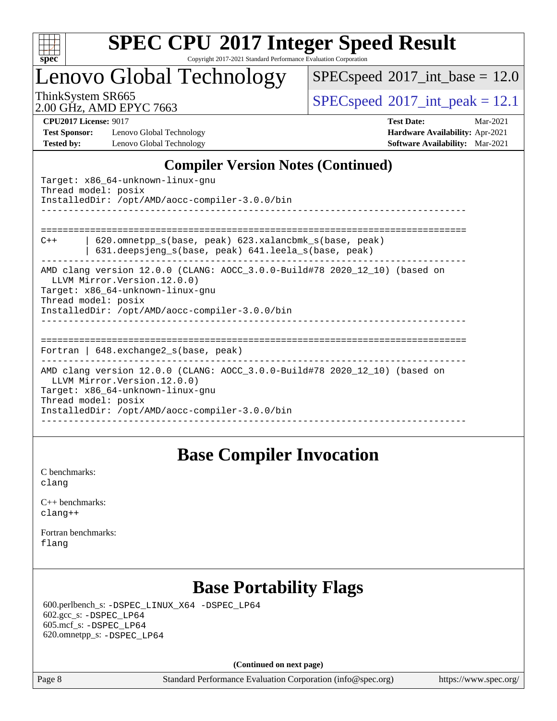

Copyright 2017-2021 Standard Performance Evaluation Corporation

Lenovo Global Technology

 $SPECspeed^{\circ}2017\_int\_base = 12.0$  $SPECspeed^{\circ}2017\_int\_base = 12.0$ 

2.00 GHz, AMD EPYC 7663

ThinkSystem SR665  $S^{200}$  [SPECspeed](http://www.spec.org/auto/cpu2017/Docs/result-fields.html#SPECspeed2017intpeak)<sup>®</sup>[2017\\_int\\_peak = 1](http://www.spec.org/auto/cpu2017/Docs/result-fields.html#SPECspeed2017intpeak)2.1

**[Test Sponsor:](http://www.spec.org/auto/cpu2017/Docs/result-fields.html#TestSponsor)** Lenovo Global Technology **[Hardware Availability:](http://www.spec.org/auto/cpu2017/Docs/result-fields.html#HardwareAvailability)** Apr-2021 **[Tested by:](http://www.spec.org/auto/cpu2017/Docs/result-fields.html#Testedby)** Lenovo Global Technology **[Software Availability:](http://www.spec.org/auto/cpu2017/Docs/result-fields.html#SoftwareAvailability)** Mar-2021

**[CPU2017 License:](http://www.spec.org/auto/cpu2017/Docs/result-fields.html#CPU2017License)** 9017 **[Test Date:](http://www.spec.org/auto/cpu2017/Docs/result-fields.html#TestDate)** Mar-2021

### **[Compiler Version Notes \(Continued\)](http://www.spec.org/auto/cpu2017/Docs/result-fields.html#CompilerVersionNotes)**

Target: x86\_64-unknown-linux-gnu Thread model: posix InstalledDir: /opt/AMD/aocc-compiler-3.0.0/bin ------------------------------------------------------------------------------ ============================================================================== C++ | 620.omnetpp\_s(base, peak) 623.xalancbmk\_s(base, peak) | 631.deepsjeng\_s(base, peak) 641.leela\_s(base, peak) ------------------------------------------------------------------------------ AMD clang version 12.0.0 (CLANG: AOCC\_3.0.0-Build#78 2020\_12\_10) (based on LLVM Mirror.Version.12.0.0) Target: x86\_64-unknown-linux-gnu Thread model: posix InstalledDir: /opt/AMD/aocc-compiler-3.0.0/bin ------------------------------------------------------------------------------ ============================================================================== Fortran | 648.exchange2\_s(base, peak) ------------------------------------------------------------------------------ AMD clang version 12.0.0 (CLANG: AOCC\_3.0.0-Build#78 2020\_12\_10) (based on LLVM Mirror.Version.12.0.0) Target: x86\_64-unknown-linux-gnu Thread model: posix InstalledDir: /opt/AMD/aocc-compiler-3.0.0/bin ------------------------------------------------------------------------------

### **[Base Compiler Invocation](http://www.spec.org/auto/cpu2017/Docs/result-fields.html#BaseCompilerInvocation)**

[C benchmarks](http://www.spec.org/auto/cpu2017/Docs/result-fields.html#Cbenchmarks): [clang](http://www.spec.org/cpu2017/results/res2021q2/cpu2017-20210413-25627.flags.html#user_CCbase_clang-c)

| $C_{++}$ benchmarks: |  |
|----------------------|--|
| $clanq++$            |  |

[Fortran benchmarks](http://www.spec.org/auto/cpu2017/Docs/result-fields.html#Fortranbenchmarks): [flang](http://www.spec.org/cpu2017/results/res2021q2/cpu2017-20210413-25627.flags.html#user_FCbase_flang)

### Page 8 Standard Performance Evaluation Corporation [\(info@spec.org\)](mailto:info@spec.org) <https://www.spec.org/> **[Base Portability Flags](http://www.spec.org/auto/cpu2017/Docs/result-fields.html#BasePortabilityFlags)** 600.perlbench\_s: [-DSPEC\\_LINUX\\_X64](http://www.spec.org/cpu2017/results/res2021q2/cpu2017-20210413-25627.flags.html#b600.perlbench_s_basePORTABILITY_DSPEC_LINUX_X64) [-DSPEC\\_LP64](http://www.spec.org/cpu2017/results/res2021q2/cpu2017-20210413-25627.flags.html#b600.perlbench_s_baseEXTRA_PORTABILITY_DSPEC_LP64) 602.gcc\_s: [-DSPEC\\_LP64](http://www.spec.org/cpu2017/results/res2021q2/cpu2017-20210413-25627.flags.html#suite_baseEXTRA_PORTABILITY602_gcc_s_DSPEC_LP64) 605.mcf\_s: [-DSPEC\\_LP64](http://www.spec.org/cpu2017/results/res2021q2/cpu2017-20210413-25627.flags.html#suite_baseEXTRA_PORTABILITY605_mcf_s_DSPEC_LP64) 620.omnetpp\_s: [-DSPEC\\_LP64](http://www.spec.org/cpu2017/results/res2021q2/cpu2017-20210413-25627.flags.html#suite_baseEXTRA_PORTABILITY620_omnetpp_s_DSPEC_LP64) **(Continued on next page)**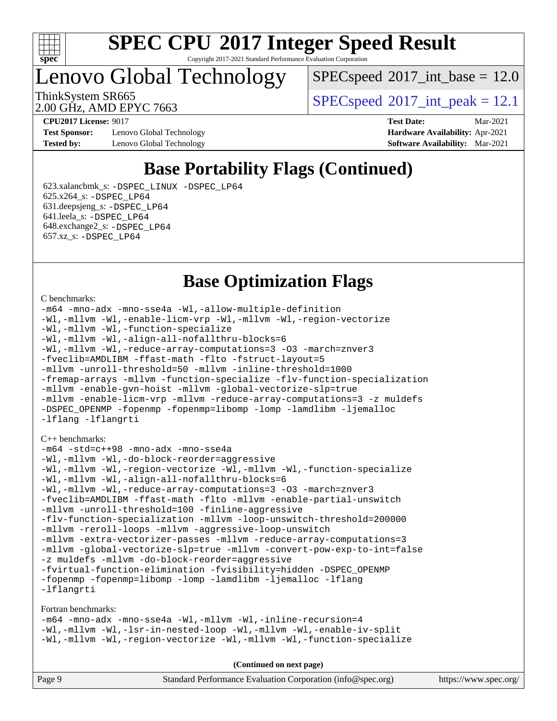

#### **[SPEC CPU](http://www.spec.org/auto/cpu2017/Docs/result-fields.html#SPECCPU2017IntegerSpeedResult)[2017 Integer Speed Result](http://www.spec.org/auto/cpu2017/Docs/result-fields.html#SPECCPU2017IntegerSpeedResult)** Copyright 2017-2021 Standard Performance Evaluation Corporation

Lenovo Global Technology

 $SPECspeed^{\circ}2017\_int\_base = 12.0$  $SPECspeed^{\circ}2017\_int\_base = 12.0$ 

2.00 GHz, AMD EPYC 7663

ThinkSystem SR665  $S^{200}$  [SPECspeed](http://www.spec.org/auto/cpu2017/Docs/result-fields.html#SPECspeed2017intpeak)®[2017\\_int\\_peak = 1](http://www.spec.org/auto/cpu2017/Docs/result-fields.html#SPECspeed2017intpeak)2.1

**[Test Sponsor:](http://www.spec.org/auto/cpu2017/Docs/result-fields.html#TestSponsor)** Lenovo Global Technology **[Hardware Availability:](http://www.spec.org/auto/cpu2017/Docs/result-fields.html#HardwareAvailability)** Apr-2021 **[Tested by:](http://www.spec.org/auto/cpu2017/Docs/result-fields.html#Testedby)** Lenovo Global Technology **[Software Availability:](http://www.spec.org/auto/cpu2017/Docs/result-fields.html#SoftwareAvailability)** Mar-2021

**[CPU2017 License:](http://www.spec.org/auto/cpu2017/Docs/result-fields.html#CPU2017License)** 9017 **[Test Date:](http://www.spec.org/auto/cpu2017/Docs/result-fields.html#TestDate)** Mar-2021

### **[Base Portability Flags \(Continued\)](http://www.spec.org/auto/cpu2017/Docs/result-fields.html#BasePortabilityFlags)**

 623.xalancbmk\_s: [-DSPEC\\_LINUX](http://www.spec.org/cpu2017/results/res2021q2/cpu2017-20210413-25627.flags.html#b623.xalancbmk_s_basePORTABILITY_DSPEC_LINUX) [-DSPEC\\_LP64](http://www.spec.org/cpu2017/results/res2021q2/cpu2017-20210413-25627.flags.html#suite_baseEXTRA_PORTABILITY623_xalancbmk_s_DSPEC_LP64) 625.x264\_s: [-DSPEC\\_LP64](http://www.spec.org/cpu2017/results/res2021q2/cpu2017-20210413-25627.flags.html#suite_baseEXTRA_PORTABILITY625_x264_s_DSPEC_LP64) 631.deepsjeng\_s: [-DSPEC\\_LP64](http://www.spec.org/cpu2017/results/res2021q2/cpu2017-20210413-25627.flags.html#suite_baseEXTRA_PORTABILITY631_deepsjeng_s_DSPEC_LP64) 641.leela\_s: [-DSPEC\\_LP64](http://www.spec.org/cpu2017/results/res2021q2/cpu2017-20210413-25627.flags.html#suite_baseEXTRA_PORTABILITY641_leela_s_DSPEC_LP64) 648.exchange2\_s: [-DSPEC\\_LP64](http://www.spec.org/cpu2017/results/res2021q2/cpu2017-20210413-25627.flags.html#suite_baseEXTRA_PORTABILITY648_exchange2_s_DSPEC_LP64) 657.xz\_s: [-DSPEC\\_LP64](http://www.spec.org/cpu2017/results/res2021q2/cpu2017-20210413-25627.flags.html#suite_baseEXTRA_PORTABILITY657_xz_s_DSPEC_LP64)

### **[Base Optimization Flags](http://www.spec.org/auto/cpu2017/Docs/result-fields.html#BaseOptimizationFlags)**

#### [C benchmarks](http://www.spec.org/auto/cpu2017/Docs/result-fields.html#Cbenchmarks):

```
-m64 -mno-adx -mno-sse4a -Wl,-allow-multiple-definition
-Wl,-mllvm -Wl,-enable-licm-vrp -Wl,-mllvm -Wl,-region-vectorize
-Wl,-mllvm -Wl,-function-specialize
-Wl,-mllvm -Wl,-align-all-nofallthru-blocks=6
-Wl,-mllvm -Wl,-reduce-array-computations=3 -O3 -march=znver3
-fveclib=AMDLIBM -ffast-math -flto -fstruct-layout=5
-mllvm -unroll-threshold=50 -mllvm -inline-threshold=1000
-fremap-arrays -mllvm -function-specialize -flv-function-specialization
-mllvm -enable-gvn-hoist -mllvm -global-vectorize-slp=true
-mllvm -enable-licm-vrp -mllvm -reduce-array-computations=3 -z muldefs
-DSPEC_OPENMP -fopenmp -fopenmp=libomp -lomp -lamdlibm -ljemalloc
-lflang -lflangrti
C++ benchmarks: 
-m64 -std=c++98 -mno-adx -mno-sse4a
-Wl,-mllvm -Wl,-do-block-reorder=aggressive
-Wl,-mllvm -Wl,-region-vectorize -Wl,-mllvm -Wl,-function-specialize
-Wl,-mllvm -Wl,-align-all-nofallthru-blocks=6
-Wl,-mllvm -Wl,-reduce-array-computations=3 -O3 -march=znver3
-fveclib=AMDLIBM -ffast-math -flto -mllvm -enable-partial-unswitch
-mllvm -unroll-threshold=100 -finline-aggressive
-flv-function-specialization -mllvm -loop-unswitch-threshold=200000
-mllvm -reroll-loops -mllvm -aggressive-loop-unswitch
-mllvm -extra-vectorizer-passes -mllvm -reduce-array-computations=3
-mllvm -global-vectorize-slp=true -mllvm -convert-pow-exp-to-int=false
-z muldefs -mllvm -do-block-reorder=aggressive
-fvirtual-function-elimination -fvisibility=hidden -DSPEC_OPENMP
-fopenmp -fopenmp=libomp -lomp -lamdlibm -ljemalloc -lflang
-lflangrti
```
[Fortran benchmarks](http://www.spec.org/auto/cpu2017/Docs/result-fields.html#Fortranbenchmarks):

[-m64](http://www.spec.org/cpu2017/results/res2021q2/cpu2017-20210413-25627.flags.html#user_FCbase_F-m64) [-mno-adx](http://www.spec.org/cpu2017/results/res2021q2/cpu2017-20210413-25627.flags.html#user_FCbase_F-mno-adx) [-mno-sse4a](http://www.spec.org/cpu2017/results/res2021q2/cpu2017-20210413-25627.flags.html#user_FCbase_F-mno-sse4a) [-Wl,-mllvm -Wl,-inline-recursion=4](http://www.spec.org/cpu2017/results/res2021q2/cpu2017-20210413-25627.flags.html#user_FCbase_F-inline-recursion) [-Wl,-mllvm -Wl,-lsr-in-nested-loop](http://www.spec.org/cpu2017/results/res2021q2/cpu2017-20210413-25627.flags.html#user_FCbase_F-lsr-in-nested-loop) [-Wl,-mllvm -Wl,-enable-iv-split](http://www.spec.org/cpu2017/results/res2021q2/cpu2017-20210413-25627.flags.html#user_FCbase_F-enable-iv-split) [-Wl,-mllvm -Wl,-region-vectorize](http://www.spec.org/cpu2017/results/res2021q2/cpu2017-20210413-25627.flags.html#user_FCbase_F-region-vectorize_fb6c6b5aa293c88efc6c7c2b52b20755e943585b1fe8658c35afef78727fff56e1a56891413c30e36b8e2a6f9a71126986319243e80eb6110b78b288f533c52b) [-Wl,-mllvm -Wl,-function-specialize](http://www.spec.org/cpu2017/results/res2021q2/cpu2017-20210413-25627.flags.html#user_FCbase_F-function-specialize_7e7e661e57922243ee67c9a1251cb8910e607325179a0ce7f2884e09a6f5d4a5ef0ae4f37e8a2a11c95fc48e931f06dc2b6016f14b511fcb441e048bef1b065a)

**(Continued on next page)**

| Page 9 | Standard Performance Evaluation Corporation (info@spec.org) | https://www.spec.org/ |
|--------|-------------------------------------------------------------|-----------------------|
|--------|-------------------------------------------------------------|-----------------------|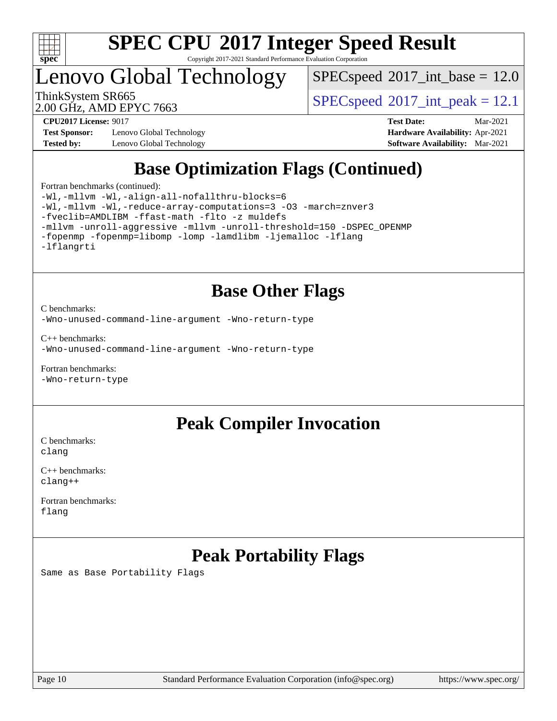

Copyright 2017-2021 Standard Performance Evaluation Corporation

Lenovo Global Technology

 $SPECspeed^{\circ}2017\_int\_base = 12.0$  $SPECspeed^{\circ}2017\_int\_base = 12.0$ 

2.00 GHz, AMD EPYC 7663

ThinkSystem SR665  $S^{200}$  [SPECspeed](http://www.spec.org/auto/cpu2017/Docs/result-fields.html#SPECspeed2017intpeak)<sup>®</sup>[2017\\_int\\_peak = 1](http://www.spec.org/auto/cpu2017/Docs/result-fields.html#SPECspeed2017intpeak)2.1

**[Test Sponsor:](http://www.spec.org/auto/cpu2017/Docs/result-fields.html#TestSponsor)** Lenovo Global Technology **[Hardware Availability:](http://www.spec.org/auto/cpu2017/Docs/result-fields.html#HardwareAvailability)** Apr-2021 **[Tested by:](http://www.spec.org/auto/cpu2017/Docs/result-fields.html#Testedby)** Lenovo Global Technology **[Software Availability:](http://www.spec.org/auto/cpu2017/Docs/result-fields.html#SoftwareAvailability)** Mar-2021

**[CPU2017 License:](http://www.spec.org/auto/cpu2017/Docs/result-fields.html#CPU2017License)** 9017 **[Test Date:](http://www.spec.org/auto/cpu2017/Docs/result-fields.html#TestDate)** Mar-2021

## **[Base Optimization Flags \(Continued\)](http://www.spec.org/auto/cpu2017/Docs/result-fields.html#BaseOptimizationFlags)**

[Fortran benchmarks](http://www.spec.org/auto/cpu2017/Docs/result-fields.html#Fortranbenchmarks) (continued):

[-Wl,-mllvm -Wl,-align-all-nofallthru-blocks=6](http://www.spec.org/cpu2017/results/res2021q2/cpu2017-20210413-25627.flags.html#user_FCbase_F-align-all-nofallthru-blocks) [-Wl,-mllvm -Wl,-reduce-array-computations=3](http://www.spec.org/cpu2017/results/res2021q2/cpu2017-20210413-25627.flags.html#user_FCbase_F-reduce-array-computations_b882aefe7a5dda4e33149f6299762b9a720dace3e498e13756f4c04e5a19edf5315c1f3993de2e61ec41e8c206231f84e05da7040e1bb5d69ba27d10a12507e4) [-O3](http://www.spec.org/cpu2017/results/res2021q2/cpu2017-20210413-25627.flags.html#user_FCbase_F-O3) [-march=znver3](http://www.spec.org/cpu2017/results/res2021q2/cpu2017-20210413-25627.flags.html#user_FCbase_aocc-march) [-fveclib=AMDLIBM](http://www.spec.org/cpu2017/results/res2021q2/cpu2017-20210413-25627.flags.html#user_FCbase_F-fveclib) [-ffast-math](http://www.spec.org/cpu2017/results/res2021q2/cpu2017-20210413-25627.flags.html#user_FCbase_aocc-ffast-math) [-flto](http://www.spec.org/cpu2017/results/res2021q2/cpu2017-20210413-25627.flags.html#user_FCbase_aocc-flto) [-z muldefs](http://www.spec.org/cpu2017/results/res2021q2/cpu2017-20210413-25627.flags.html#user_FCbase_aocc-muldefs) [-mllvm -unroll-aggressive](http://www.spec.org/cpu2017/results/res2021q2/cpu2017-20210413-25627.flags.html#user_FCbase_F-unroll-aggressive) [-mllvm -unroll-threshold=150](http://www.spec.org/cpu2017/results/res2021q2/cpu2017-20210413-25627.flags.html#user_FCbase_F-unroll-threshold_3352736ce55666ed13437f5f5fd6693920e68d4dfd26bba42492bb1c46b6d7692ff5ba7bd4d2ebdab48d140ca981a39154ff0664b4d322a66fc3d1aafa4d7ffe) [-DSPEC\\_OPENMP](http://www.spec.org/cpu2017/results/res2021q2/cpu2017-20210413-25627.flags.html#suite_FCbase_DSPEC_OPENMP) [-fopenmp](http://www.spec.org/cpu2017/results/res2021q2/cpu2017-20210413-25627.flags.html#user_FCbase_aocc-fopenmp) [-fopenmp=libomp](http://www.spec.org/cpu2017/results/res2021q2/cpu2017-20210413-25627.flags.html#user_FCbase_aocc-fopenmp_3eb6ab80166bcc84161ff8c20c8d5bc344f88119f45620444596454f7d72e99b7a0ceefc2d1b4d190bd07306bbfdfc20f11f5a2dc69c9b03c72239f8406741c3) [-lomp](http://www.spec.org/cpu2017/results/res2021q2/cpu2017-20210413-25627.flags.html#user_FCbase_F-lomp) [-lamdlibm](http://www.spec.org/cpu2017/results/res2021q2/cpu2017-20210413-25627.flags.html#user_FCbase_F-lamdlibm) [-ljemalloc](http://www.spec.org/cpu2017/results/res2021q2/cpu2017-20210413-25627.flags.html#user_FCbase_jemalloc-lib) [-lflang](http://www.spec.org/cpu2017/results/res2021q2/cpu2017-20210413-25627.flags.html#user_FCbase_F-lflang) [-lflangrti](http://www.spec.org/cpu2017/results/res2021q2/cpu2017-20210413-25627.flags.html#user_FCbase_F-lflangrti)

### **[Base Other Flags](http://www.spec.org/auto/cpu2017/Docs/result-fields.html#BaseOtherFlags)**

[C benchmarks](http://www.spec.org/auto/cpu2017/Docs/result-fields.html#Cbenchmarks):

[-Wno-unused-command-line-argument](http://www.spec.org/cpu2017/results/res2021q2/cpu2017-20210413-25627.flags.html#user_CCbase_F-Wno-unused-command-line-argument) [-Wno-return-type](http://www.spec.org/cpu2017/results/res2021q2/cpu2017-20210413-25627.flags.html#user_CCbase_F-Waocc-no-return-type)

[C++ benchmarks:](http://www.spec.org/auto/cpu2017/Docs/result-fields.html#CXXbenchmarks) [-Wno-unused-command-line-argument](http://www.spec.org/cpu2017/results/res2021q2/cpu2017-20210413-25627.flags.html#user_CXXbase_F-Wno-unused-command-line-argument) [-Wno-return-type](http://www.spec.org/cpu2017/results/res2021q2/cpu2017-20210413-25627.flags.html#user_CXXbase_F-Waocc-no-return-type)

[Fortran benchmarks](http://www.spec.org/auto/cpu2017/Docs/result-fields.html#Fortranbenchmarks): [-Wno-return-type](http://www.spec.org/cpu2017/results/res2021q2/cpu2017-20210413-25627.flags.html#user_FCbase_F-Waocc-no-return-type)

### **[Peak Compiler Invocation](http://www.spec.org/auto/cpu2017/Docs/result-fields.html#PeakCompilerInvocation)**

[C benchmarks](http://www.spec.org/auto/cpu2017/Docs/result-fields.html#Cbenchmarks): [clang](http://www.spec.org/cpu2017/results/res2021q2/cpu2017-20210413-25627.flags.html#user_CCpeak_clang-c)

[C++ benchmarks:](http://www.spec.org/auto/cpu2017/Docs/result-fields.html#CXXbenchmarks) [clang++](http://www.spec.org/cpu2017/results/res2021q2/cpu2017-20210413-25627.flags.html#user_CXXpeak_clang-cpp)

[Fortran benchmarks](http://www.spec.org/auto/cpu2017/Docs/result-fields.html#Fortranbenchmarks): [flang](http://www.spec.org/cpu2017/results/res2021q2/cpu2017-20210413-25627.flags.html#user_FCpeak_flang)

## **[Peak Portability Flags](http://www.spec.org/auto/cpu2017/Docs/result-fields.html#PeakPortabilityFlags)**

Same as Base Portability Flags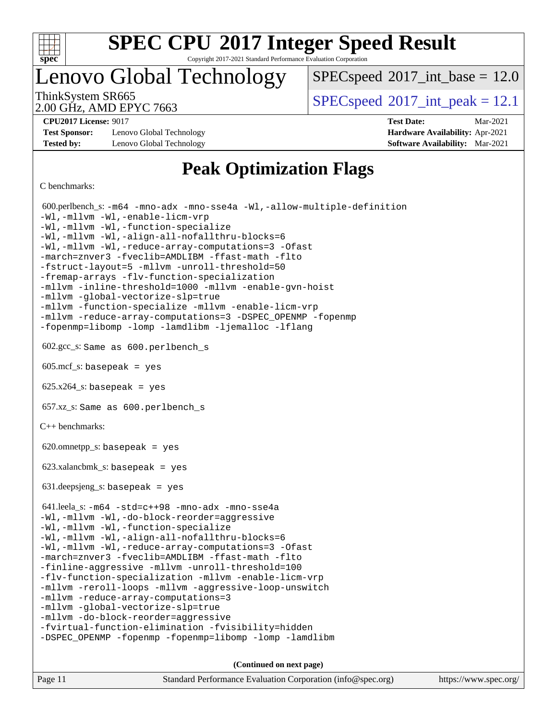

Copyright 2017-2021 Standard Performance Evaluation Corporation

Lenovo Global Technology

 $SPECspeed^{\circ}2017\_int\_base = 12.0$  $SPECspeed^{\circ}2017\_int\_base = 12.0$ 

2.00 GHz, AMD EPYC 7663

ThinkSystem SR665  $S^{200}$  [SPECspeed](http://www.spec.org/auto/cpu2017/Docs/result-fields.html#SPECspeed2017intpeak)<sup>®</sup>[2017\\_int\\_peak = 1](http://www.spec.org/auto/cpu2017/Docs/result-fields.html#SPECspeed2017intpeak)2.1

**[Test Sponsor:](http://www.spec.org/auto/cpu2017/Docs/result-fields.html#TestSponsor)** Lenovo Global Technology **[Hardware Availability:](http://www.spec.org/auto/cpu2017/Docs/result-fields.html#HardwareAvailability)** Apr-2021 **[Tested by:](http://www.spec.org/auto/cpu2017/Docs/result-fields.html#Testedby)** Lenovo Global Technology **[Software Availability:](http://www.spec.org/auto/cpu2017/Docs/result-fields.html#SoftwareAvailability)** Mar-2021

**[CPU2017 License:](http://www.spec.org/auto/cpu2017/Docs/result-fields.html#CPU2017License)** 9017 **[Test Date:](http://www.spec.org/auto/cpu2017/Docs/result-fields.html#TestDate)** Mar-2021

### **[Peak Optimization Flags](http://www.spec.org/auto/cpu2017/Docs/result-fields.html#PeakOptimizationFlags)**

[C benchmarks](http://www.spec.org/auto/cpu2017/Docs/result-fields.html#Cbenchmarks):

 600.perlbench\_s: [-m64](http://www.spec.org/cpu2017/results/res2021q2/cpu2017-20210413-25627.flags.html#user_peakCCLD600_perlbench_s_F-m64) [-mno-adx](http://www.spec.org/cpu2017/results/res2021q2/cpu2017-20210413-25627.flags.html#user_peakCC600_perlbench_s_F-mno-adx) [-mno-sse4a](http://www.spec.org/cpu2017/results/res2021q2/cpu2017-20210413-25627.flags.html#user_peakCC600_perlbench_s_F-mno-sse4a) [-Wl,-allow-multiple-definition](http://www.spec.org/cpu2017/results/res2021q2/cpu2017-20210413-25627.flags.html#user_peakLDCFLAGS600_perlbench_s_F-allow-multiple-definition_970930b9380f536892d286f43fe3aa60143711811517403e860b887d69527ebeb0ce7f1b66302f2a87b3cab7b5adae5fa57fa46168627b86a7718b21636cd604) [-Wl,-mllvm -Wl,-enable-licm-vrp](http://www.spec.org/cpu2017/results/res2021q2/cpu2017-20210413-25627.flags.html#user_peakLDCFLAGS600_perlbench_s_F-enable-licm-vrp_65c4fc69039207ec88421e1591ba3bbf2ac715c2f390cac268ece6f40ae7757bd65f971ef38c9b70aedd2bf37e4037d3d64a7fe88db6aed78b6f244274772259) [-Wl,-mllvm -Wl,-function-specialize](http://www.spec.org/cpu2017/results/res2021q2/cpu2017-20210413-25627.flags.html#user_peakEXTRA_LDFLAGS600_perlbench_s_F-function-specialize_7e7e661e57922243ee67c9a1251cb8910e607325179a0ce7f2884e09a6f5d4a5ef0ae4f37e8a2a11c95fc48e931f06dc2b6016f14b511fcb441e048bef1b065a) [-Wl,-mllvm -Wl,-align-all-nofallthru-blocks=6](http://www.spec.org/cpu2017/results/res2021q2/cpu2017-20210413-25627.flags.html#user_peakEXTRA_LDFLAGS600_perlbench_s_F-align-all-nofallthru-blocks) [-Wl,-mllvm -Wl,-reduce-array-computations=3](http://www.spec.org/cpu2017/results/res2021q2/cpu2017-20210413-25627.flags.html#user_peakEXTRA_LDFLAGS600_perlbench_s_F-reduce-array-computations_b882aefe7a5dda4e33149f6299762b9a720dace3e498e13756f4c04e5a19edf5315c1f3993de2e61ec41e8c206231f84e05da7040e1bb5d69ba27d10a12507e4) [-Ofast](http://www.spec.org/cpu2017/results/res2021q2/cpu2017-20210413-25627.flags.html#user_peakCOPTIMIZE600_perlbench_s_aocc-Ofast) [-march=znver3](http://www.spec.org/cpu2017/results/res2021q2/cpu2017-20210413-25627.flags.html#user_peakCOPTIMIZE600_perlbench_s_aocc-march) [-fveclib=AMDLIBM](http://www.spec.org/cpu2017/results/res2021q2/cpu2017-20210413-25627.flags.html#user_peakCOPTIMIZE600_perlbench_s_F-fveclib) [-ffast-math](http://www.spec.org/cpu2017/results/res2021q2/cpu2017-20210413-25627.flags.html#user_peakCOPTIMIZE600_perlbench_s_aocc-ffast-math) [-flto](http://www.spec.org/cpu2017/results/res2021q2/cpu2017-20210413-25627.flags.html#user_peakCOPTIMIZE600_perlbench_s_aocc-flto) [-fstruct-layout=5](http://www.spec.org/cpu2017/results/res2021q2/cpu2017-20210413-25627.flags.html#user_peakCOPTIMIZE600_perlbench_s_F-struct-layout) [-mllvm -unroll-threshold=50](http://www.spec.org/cpu2017/results/res2021q2/cpu2017-20210413-25627.flags.html#user_peakCOPTIMIZE600_perlbench_s_F-unroll-threshold_458874500b2c105d6d5cb4d7a611c40e2b16e9e3d26b355fea72d644c3673b4de4b3932662f0ed3dbec75c491a13da2d2ca81180bd779dc531083ef1e1e549dc) [-fremap-arrays](http://www.spec.org/cpu2017/results/res2021q2/cpu2017-20210413-25627.flags.html#user_peakCOPTIMIZE600_perlbench_s_F-fremap-arrays) [-flv-function-specialization](http://www.spec.org/cpu2017/results/res2021q2/cpu2017-20210413-25627.flags.html#user_peakCOPTIMIZE600_perlbench_s_F-flv-function-specialization) [-mllvm -inline-threshold=1000](http://www.spec.org/cpu2017/results/res2021q2/cpu2017-20210413-25627.flags.html#user_peakCOPTIMIZE600_perlbench_s_F-inline-threshold_b7832241b0a6397e4ecdbaf0eb7defdc10f885c2a282fa3240fdc99844d543fda39cf8a4a9dccf68cf19b5438ac3b455264f478df15da0f4988afa40d8243bab) [-mllvm -enable-gvn-hoist](http://www.spec.org/cpu2017/results/res2021q2/cpu2017-20210413-25627.flags.html#user_peakCOPTIMIZE600_perlbench_s_F-enable-gvn-hoist_e5856354646dd6ca1333a0ad99b817e4cf8932b91b82809fd8fd47ceff7b22a89eba5c98fd3e3fa5200368fd772cec3dd56abc3c8f7b655a71b9f9848dddedd5) [-mllvm -global-vectorize-slp=true](http://www.spec.org/cpu2017/results/res2021q2/cpu2017-20210413-25627.flags.html#user_peakCOPTIMIZE600_perlbench_s_F-global-vectorize-slp_f701c289ed3fc79483844cad3672606d268e3123d2651e764a36e57810b634b30ff7af25c43ce4288d0e4c1cc47ba156fce6ed971bc0d0e53c4c557f353d3dec) [-mllvm -function-specialize](http://www.spec.org/cpu2017/results/res2021q2/cpu2017-20210413-25627.flags.html#user_peakCOPTIMIZE600_perlbench_s_F-function-specialize_233b3bdba86027f1b094368157e481c5bc59f40286dc25bfadc1858dcd5745c24fd30d5f188710db7fea399bcc9f44a80b3ce3aacc70a8870250c3ae5e1f35b8) [-mllvm -enable-licm-vrp](http://www.spec.org/cpu2017/results/res2021q2/cpu2017-20210413-25627.flags.html#user_peakCOPTIMIZE600_perlbench_s_F-enable-licm-vrp_82fd83574dee81d8c8043a1355024a53ba7c23d449242d72368fd778ae4cd8625fb6c8e473e88c632367ccc13b0c321b9a13b8db897fcfc1592cf0205fd356b5) [-mllvm -reduce-array-computations=3](http://www.spec.org/cpu2017/results/res2021q2/cpu2017-20210413-25627.flags.html#user_peakCOPTIMIZE600_perlbench_s_F-reduce-array-computations) [-DSPEC\\_OPENMP](http://www.spec.org/cpu2017/results/res2021q2/cpu2017-20210413-25627.flags.html#suite_peakEXTRA_OPTIMIZE600_perlbench_s_DSPEC_OPENMP) [-fopenmp](http://www.spec.org/cpu2017/results/res2021q2/cpu2017-20210413-25627.flags.html#user_peakEXTRA_OPTIMIZE600_perlbench_s_aocc-fopenmp) [-fopenmp=libomp](http://www.spec.org/cpu2017/results/res2021q2/cpu2017-20210413-25627.flags.html#user_peakEXTRA_LIBS600_perlbench_s_aocc-fopenmp_3eb6ab80166bcc84161ff8c20c8d5bc344f88119f45620444596454f7d72e99b7a0ceefc2d1b4d190bd07306bbfdfc20f11f5a2dc69c9b03c72239f8406741c3) [-lomp](http://www.spec.org/cpu2017/results/res2021q2/cpu2017-20210413-25627.flags.html#user_peakEXTRA_LIBS600_perlbench_s_F-lomp) [-lamdlibm](http://www.spec.org/cpu2017/results/res2021q2/cpu2017-20210413-25627.flags.html#user_peakEXTRA_LIBS600_perlbench_s_F-lamdlibm) [-ljemalloc](http://www.spec.org/cpu2017/results/res2021q2/cpu2017-20210413-25627.flags.html#user_peakEXTRA_LIBS600_perlbench_s_jemalloc-lib) [-lflang](http://www.spec.org/cpu2017/results/res2021q2/cpu2017-20210413-25627.flags.html#user_peakEXTRA_LIBS600_perlbench_s_F-lflang) 602.gcc\_s: Same as 600.perlbench\_s  $605 \text{.mcf}\text{-}\mathrm{s}$ : basepeak = yes  $625.x264_s$ : basepeak = yes 657.xz\_s: Same as 600.perlbench\_s [C++ benchmarks:](http://www.spec.org/auto/cpu2017/Docs/result-fields.html#CXXbenchmarks)  $620.$ omnetpp\_s: basepeak = yes 623.xalancbmk\_s: basepeak = yes 631.deepsjeng\_s: basepeak = yes 641.leela\_s: [-m64](http://www.spec.org/cpu2017/results/res2021q2/cpu2017-20210413-25627.flags.html#user_peakCXXLD641_leela_s_F-m64) [-std=c++98](http://www.spec.org/cpu2017/results/res2021q2/cpu2017-20210413-25627.flags.html#user_peakCXX641_leela_s_std-cpp) [-mno-adx](http://www.spec.org/cpu2017/results/res2021q2/cpu2017-20210413-25627.flags.html#user_peakCXX641_leela_s_F-mno-adx) [-mno-sse4a](http://www.spec.org/cpu2017/results/res2021q2/cpu2017-20210413-25627.flags.html#user_peakCXX641_leela_s_F-mno-sse4a) [-Wl,-mllvm -Wl,-do-block-reorder=aggressive](http://www.spec.org/cpu2017/results/res2021q2/cpu2017-20210413-25627.flags.html#user_peakLDCXXFLAGS641_leela_s_F-do-block-reorder_5f74e61ee573767a7a801151b896942f7b82b19d6cd9bf8ce970c1e994a093b9201db6c2ab0fa62493e8c1b02c988fb29421a5aa214bf67b5398dfa89747b1b3) [-Wl,-mllvm -Wl,-function-specialize](http://www.spec.org/cpu2017/results/res2021q2/cpu2017-20210413-25627.flags.html#user_peakEXTRA_LDFLAGS641_leela_s_F-function-specialize_7e7e661e57922243ee67c9a1251cb8910e607325179a0ce7f2884e09a6f5d4a5ef0ae4f37e8a2a11c95fc48e931f06dc2b6016f14b511fcb441e048bef1b065a) [-Wl,-mllvm -Wl,-align-all-nofallthru-blocks=6](http://www.spec.org/cpu2017/results/res2021q2/cpu2017-20210413-25627.flags.html#user_peakEXTRA_LDFLAGS641_leela_s_F-align-all-nofallthru-blocks) [-Wl,-mllvm -Wl,-reduce-array-computations=3](http://www.spec.org/cpu2017/results/res2021q2/cpu2017-20210413-25627.flags.html#user_peakEXTRA_LDFLAGS641_leela_s_F-reduce-array-computations_b882aefe7a5dda4e33149f6299762b9a720dace3e498e13756f4c04e5a19edf5315c1f3993de2e61ec41e8c206231f84e05da7040e1bb5d69ba27d10a12507e4) [-Ofast](http://www.spec.org/cpu2017/results/res2021q2/cpu2017-20210413-25627.flags.html#user_peakCXXOPTIMIZE641_leela_s_aocc-Ofast) [-march=znver3](http://www.spec.org/cpu2017/results/res2021q2/cpu2017-20210413-25627.flags.html#user_peakCXXOPTIMIZE641_leela_s_aocc-march) [-fveclib=AMDLIBM](http://www.spec.org/cpu2017/results/res2021q2/cpu2017-20210413-25627.flags.html#user_peakCXXOPTIMIZE641_leela_s_F-fveclib) [-ffast-math](http://www.spec.org/cpu2017/results/res2021q2/cpu2017-20210413-25627.flags.html#user_peakCXXOPTIMIZE641_leela_s_aocc-ffast-math) [-flto](http://www.spec.org/cpu2017/results/res2021q2/cpu2017-20210413-25627.flags.html#user_peakCXXOPTIMIZE641_leela_s_aocc-flto) [-finline-aggressive](http://www.spec.org/cpu2017/results/res2021q2/cpu2017-20210413-25627.flags.html#user_peakCXXOPTIMIZE641_leela_s_F-finline-aggressive) [-mllvm -unroll-threshold=100](http://www.spec.org/cpu2017/results/res2021q2/cpu2017-20210413-25627.flags.html#user_peakCXXOPTIMIZE641_leela_s_F-unroll-threshold) [-flv-function-specialization](http://www.spec.org/cpu2017/results/res2021q2/cpu2017-20210413-25627.flags.html#user_peakCXXOPTIMIZE641_leela_s_F-flv-function-specialization) [-mllvm -enable-licm-vrp](http://www.spec.org/cpu2017/results/res2021q2/cpu2017-20210413-25627.flags.html#user_peakCXXOPTIMIZE641_leela_s_F-enable-licm-vrp_82fd83574dee81d8c8043a1355024a53ba7c23d449242d72368fd778ae4cd8625fb6c8e473e88c632367ccc13b0c321b9a13b8db897fcfc1592cf0205fd356b5) [-mllvm -reroll-loops](http://www.spec.org/cpu2017/results/res2021q2/cpu2017-20210413-25627.flags.html#user_peakCXXOPTIMIZE641_leela_s_F-reroll-loops) [-mllvm -aggressive-loop-unswitch](http://www.spec.org/cpu2017/results/res2021q2/cpu2017-20210413-25627.flags.html#user_peakCXXOPTIMIZE641_leela_s_F-aggressive-loop-unswitch_abd8177005d493f9a81f88ae32814acdc0422950e54bc53b0605c538e2e7549eb43d48c826089056b98aa2f0c142dc7ed1401fa1c97db9286a8c3ff748437b59) [-mllvm -reduce-array-computations=3](http://www.spec.org/cpu2017/results/res2021q2/cpu2017-20210413-25627.flags.html#user_peakCXXOPTIMIZE641_leela_s_F-reduce-array-computations) [-mllvm -global-vectorize-slp=true](http://www.spec.org/cpu2017/results/res2021q2/cpu2017-20210413-25627.flags.html#user_peakCXXOPTIMIZE641_leela_s_F-global-vectorize-slp_f701c289ed3fc79483844cad3672606d268e3123d2651e764a36e57810b634b30ff7af25c43ce4288d0e4c1cc47ba156fce6ed971bc0d0e53c4c557f353d3dec) [-mllvm -do-block-reorder=aggressive](http://www.spec.org/cpu2017/results/res2021q2/cpu2017-20210413-25627.flags.html#user_peakEXTRA_CXXFLAGS641_leela_s_F-do-block-reorder) [-fvirtual-function-elimination](http://www.spec.org/cpu2017/results/res2021q2/cpu2017-20210413-25627.flags.html#user_peakEXTRA_CXXFLAGS641_leela_s_F-fvirtual-function-elimination) [-fvisibility=hidden](http://www.spec.org/cpu2017/results/res2021q2/cpu2017-20210413-25627.flags.html#user_peakEXTRA_CXXFLAGS641_leela_s_F-fvisibility) [-DSPEC\\_OPENMP](http://www.spec.org/cpu2017/results/res2021q2/cpu2017-20210413-25627.flags.html#suite_peakEXTRA_OPTIMIZE641_leela_s_DSPEC_OPENMP) [-fopenmp](http://www.spec.org/cpu2017/results/res2021q2/cpu2017-20210413-25627.flags.html#user_peakEXTRA_OPTIMIZE641_leela_s_aocc-fopenmp) [-fopenmp=libomp](http://www.spec.org/cpu2017/results/res2021q2/cpu2017-20210413-25627.flags.html#user_peakEXTRA_LIBS641_leela_s_aocc-fopenmp_3eb6ab80166bcc84161ff8c20c8d5bc344f88119f45620444596454f7d72e99b7a0ceefc2d1b4d190bd07306bbfdfc20f11f5a2dc69c9b03c72239f8406741c3) [-lomp](http://www.spec.org/cpu2017/results/res2021q2/cpu2017-20210413-25627.flags.html#user_peakEXTRA_LIBS641_leela_s_F-lomp) [-lamdlibm](http://www.spec.org/cpu2017/results/res2021q2/cpu2017-20210413-25627.flags.html#user_peakEXTRA_LIBS641_leela_s_F-lamdlibm) **(Continued on next page)**